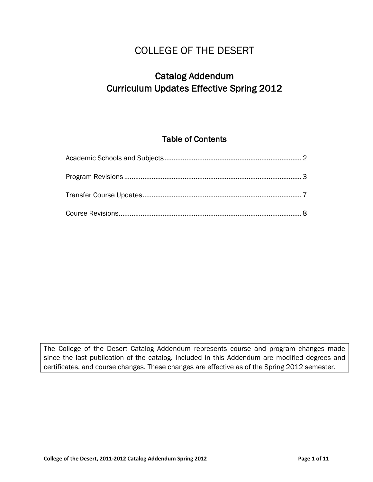# COLLEGE OF THE DESERT

# Catalog Addendum Curriculum Updates Effective Spring 2012

## Table of Contents

The College of the Desert Catalog Addendum represents course and program changes made since the last publication of the catalog. Included in this Addendum are modified degrees and certificates, and course changes. These changes are effective as of the Spring 2012 semester.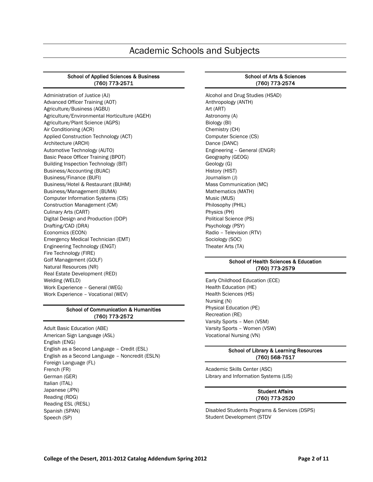# Academic Schools and Subjects

#### School of Applied Sciences & Business (760) 773-2571

Administration of Justice (AJ) Advanced Officer Training (AOT) Agriculture/Business (AGBU) Agriculture/Environmental Horticulture (AGEH) Agriculture/Plant Science (AGPS) Air Conditioning (ACR) Applied Construction Technology (ACT) Architecture (ARCH) Automotive Technology (AUTO) Basic Peace Officer Training (BPOT) Building Inspection Technology (BIT) Business/Accounting (BUAC) Business/Finance (BUFI) Business/Hotel & Restaurant (BUHM) Business/Management (BUMA) Computer Information Systems (CIS) Construction Management (CM) Culinary Arts (CART) Digital Design and Production (DDP) Drafting/CAD (DRA) Economics (ECON) Emergency Medical Technician (EMT) Engineering Technology (ENGT) Fire Technology (FIRE) Golf Management (GOLF) Natural Resources (NR) Real Estate Development (RED) Welding (WELD) Work Experience – General (WEG) Work Experience – Vocational (WEV)

#### School of Communication & Humanities (760) 773-2572

Adult Basic Education (ABE) American Sign Language (ASL) English (ENG) English as a Second Language – Credit (ESL) English as a Second Language – Noncredit (ESLN) Foreign Language (FL) French (FR) German (GER) Italian (ITAL) Japanese (JPN) Reading (RDG) Reading ESL (RESL) Spanish (SPAN) Speech (SP)

#### School of Arts & Sciences (760) 773-2574

Alcohol and Drug Studies (HSAD) Anthropology (ANTH) Art (ART) Astronomy (A) Biology (BI) Chemistry (CH) Computer Science (CS) Dance (DANC) Engineering – General (ENGR) Geography (GEOG) Geology (G) History (HIST) Journalism (J) Mass Communication (MC) Mathematics (MATH) Music (MUS) Philosophy (PHIL) Physics (PH) Political Science (PS) Psychology (PSY) Radio – Television (RTV) Sociology (SOC) Theater Arts (TA)

#### School of Health Sciences & Education (760) 773-2579

Early Childhood Education (ECE) Health Education (HE) Health Sciences (HS) Nursing (N) Physical Education (PE) Recreation (RE) Varsity Sports – Men (VSM) Varsity Sports – Women (VSW) Vocational Nursing (VN)

#### School of Library & Learning Resources (760) 568-7517

Academic Skills Center (ASC) Library and Information Systems (LIS)

#### Student Affairs (760) 773-2520

Disabled Students Programs & Services (DSPS) Student Development (STDV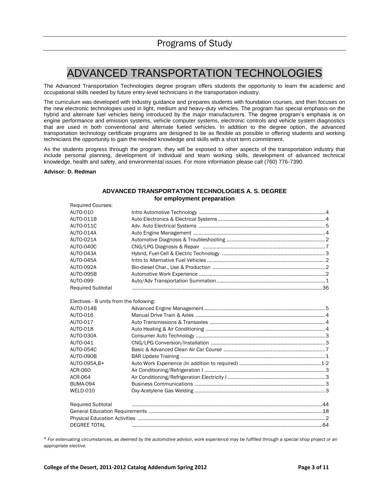# ADVANCED TRANSPORTATION TECHNOLOGIES

The Advanced Transportation Technologies degree program offers students the opportunity to learn the academic and occupational skills needed by future entry-level technicians in the transportation industry.

The curriculum was developed with industry guidance and prepares students with foundation courses, and then focuses on the new electronic technologies used in light, medium and heavy-duty vehicles. The program has special emphasis on the hybrid and alternate fuel vehicles being introduced by the major manufacturers. The degree program's emphasis is on engine performance and emission systems, vehicle computer systems, electronic controls and vehicle system diagnostics that are used in both conventional and alternate fueled vehicles. In addition to the degree option, the advanced transportation technology certificate programs are designed to be as flexible as possible in offering students and working technicians the opportunity to gain the needed knowledge and skills with a short term commitment.

As the students progress through the program, they will be exposed to other aspects of the transportation industry that include personal planning, development of individual and team working skills, development of advanced technical knowledge, health and safety, and environmental issues. For more information please call (760) 776-7390.

#### **Advisor: D. Redman**

#### **ADVANCED TRANSPORTATION TECHNOLOGIES A. S. DEGREE for employment preparation**

| <b>Required Courses:</b>                |  |
|-----------------------------------------|--|
| AUTO-010                                |  |
| AUTO-011B                               |  |
| AUTO-011C                               |  |
| AUTO-014A                               |  |
| AUTO-021A                               |  |
| AUTO-040C                               |  |
| AUTO-043A                               |  |
| AUTO-045A                               |  |
| AUTO-092A                               |  |
| <b>AUTO-095B</b>                        |  |
| <b>AUTO-099</b>                         |  |
| <b>Required Subtotal</b>                |  |
|                                         |  |
| Electives - 8 units from the following: |  |
| AUTO-014B                               |  |
| AUTO-016                                |  |
| AUTO-017                                |  |
| <b>AUTO-018</b>                         |  |
| AUTO-030A                               |  |
| AUTO-041                                |  |
| <b>AUTO-054C</b>                        |  |
| AUTO-090B                               |  |
| AUTO-095A.B+                            |  |
| <b>ACR-060</b>                          |  |
| <b>ACR-064</b>                          |  |
| <b>BUMA-094</b>                         |  |
| <b>WELD-010</b>                         |  |
| <b>Required Subtotal</b>                |  |
|                                         |  |
|                                         |  |
| <b>DEGREE TOTAL</b>                     |  |

<sup>+</sup> *For extenuating circumstances, as deemed by the automotive advisor, work experience may be fulfilled through a special shop project or an appropriate elective.*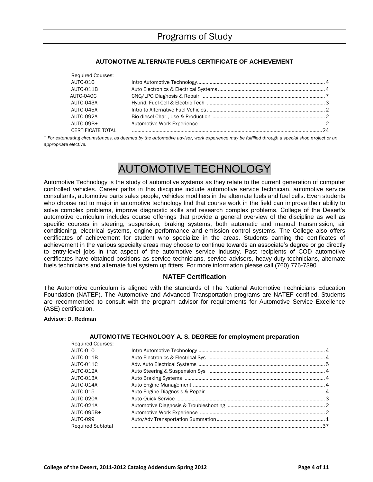### **AUTOMOTIVE ALTERNATE FUELS CERTIFICATE OF ACHIEVEMENT**

<sup>+</sup> *For extenuating circumstances, as deemed by the automotive advisor, work experience may be fulfilled through a special shop project or an appropriate elective.*

# AUTOMOTIVE TECHNOLOGY

Automotive Technology is the study of automotive systems as they relate to the current generation of computer controlled vehicles. Career paths in this discipline include automotive service technician, automotive service consultants, automotive parts sales people, vehicles modifiers in the alternate fuels and fuel cells. Even students who choose not to major in automotive technology find that course work in the field can improve their ability to solve complex problems, improve diagnostic skills and research complex problems. College of the Desert's automotive curriculum includes course offerings that provide a general overview of the discipline as well as specific courses in steering, suspension, braking systems, both automatic and manual transmission, air conditioning, electrical systems, engine performance and emission control systems. The College also offers certificates of achievement for student who specialize in the areas. Students earning the certificates of achievement in the various specialty areas may choose to continue towards an associate's degree or go directly to entry-level jobs in that aspect of the automotive service industry. Past recipients of COD automotive certificates have obtained positions as service technicians, service advisors, heavy-duty technicians, alternate fuels technicians and alternate fuel system up fitters. For more information please call (760) 776-7390.

### **NATEF Certification**

The Automotive curriculum is aligned with the standards of The National Automotive Technicians Education Foundation (NATEF). The Automotive and Advanced Transportation programs are NATEF certified. Students are recommended to consult with the program advisor for requirements for Automotive Service Excellence (ASE) certification.

#### **Advisor: D. Redman**

#### **AUTOMOTIVE TECHNOLOGY A. S. DEGREE for employment preparation**

| <b>Required Courses:</b> |  |
|--------------------------|--|
| AUTO-010                 |  |
| AUTO-011B                |  |
| <b>AUTO-011C</b>         |  |
| AUTO-012A                |  |
| AUTO-013A                |  |
| AUTO-014A                |  |
| AUTO-015                 |  |
| AUTO-020A                |  |
| <b>AUTO-021A</b>         |  |
| AUTO-095B+               |  |
| <b>AUTO-099</b>          |  |
| <b>Required Subtotal</b> |  |
|                          |  |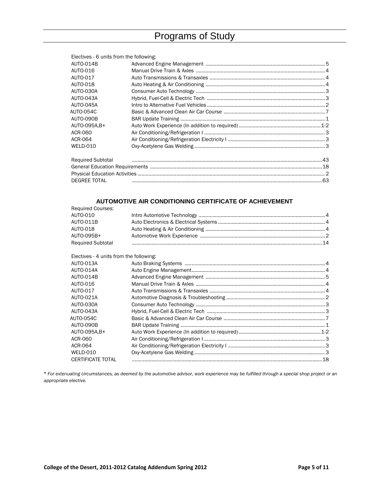# Programs of Study

| Electives - 6 units from the following: |  |
|-----------------------------------------|--|
| AUTO-014B                               |  |
| AUTO-016                                |  |
| AUTO-017                                |  |
| AUTO-018                                |  |
| AUTO-030A                               |  |
| AUTO-043A                               |  |
| AUTO-045A                               |  |
| AUTO-054C                               |  |
| AUTO-090B                               |  |
| AUTO-095A.B+                            |  |
| ACR-060                                 |  |
| ACR-064                                 |  |
| WELD-010                                |  |
| <b>Required Subtotal</b>                |  |
|                                         |  |
|                                         |  |
| <b>DEGREE TOTAL</b>                     |  |

### **AUTOMOTIVE AIR CONDITIONING CERTIFICATE OF ACHIEVEMENT**

| <b>Required Courses:</b> |  |
|--------------------------|--|
| AUTO-010                 |  |
| AUTO-011B                |  |
| AUTO-018                 |  |
| AUTO-095B+               |  |
| <b>Required Subtotal</b> |  |
|                          |  |

Electives - 4 units from the following:

| $\Box$ counce $\Box$ annual none und nonoming. |  |
|------------------------------------------------|--|
| AUTO-013A                                      |  |
| AUTO-014A                                      |  |
| AUTO-014B                                      |  |
| AUTO-016                                       |  |
| AUTO-017                                       |  |
| AUTO-021A                                      |  |
| AUTO-030A                                      |  |
| AUTO-043A                                      |  |
| AUTO-054C                                      |  |
| AUTO-090B                                      |  |
| AUTO-095A.B+                                   |  |
| ACR-060                                        |  |
| ACR-064                                        |  |
| WELD-010                                       |  |
| <b>CERTIFICATE TOTAL</b>                       |  |
|                                                |  |

<sup>+</sup> *For extenuating circumstances, as deemed by the automotive advisor, work experience may be fulfilled through a special shop project or an appropriate elective.*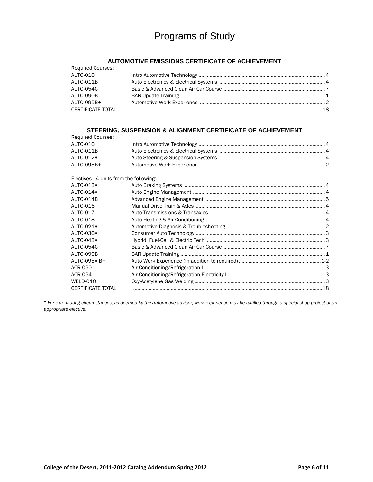#### **AUTOMOTIVE EMISSIONS CERTIFICATE OF ACHIEVEMENT**

| <b>Required Courses:</b> |                                                  |  |
|--------------------------|--------------------------------------------------|--|
| AUTO-010                 |                                                  |  |
| AUTO-011B                |                                                  |  |
| AUTO-054C                |                                                  |  |
| AUTO-090B                |                                                  |  |
| AUTO-095B+               |                                                  |  |
|                          | CERTIFICATE TOTAL PERIODICAL CERTIFICATE OF A 28 |  |

### **STEERING, SUSPENSION & ALIGNMENT CERTIFICATE OF ACHIEVEMENT**

| <b>Required Courses:</b>                |  |
|-----------------------------------------|--|
| AUTO-010                                |  |
| <b>AUTO-011B</b>                        |  |
| AUTO-012A                               |  |
| AUTO-095B+                              |  |
| Electives - 4 units from the following: |  |
| AUTO-013A                               |  |
| AUTO-014A                               |  |
| AUTO-014B                               |  |
| AUTO-016                                |  |
| AUTO-017                                |  |
| AUTO-018                                |  |
| AUTO-021A                               |  |
| AUTO-030A                               |  |
| AUTO-043A                               |  |
| AUTO-054C                               |  |
| AUTO-090B                               |  |
| AUTO-095A.B+                            |  |
| ACR-060                                 |  |
| ACR-064                                 |  |
| WELD-010                                |  |
| <b>CERTIFICATE TOTAL</b>                |  |
|                                         |  |

<sup>+</sup> *For extenuating circumstances, as deemed by the automotive advisor, work experience may be fulfilled through a special shop project or an appropriate elective.*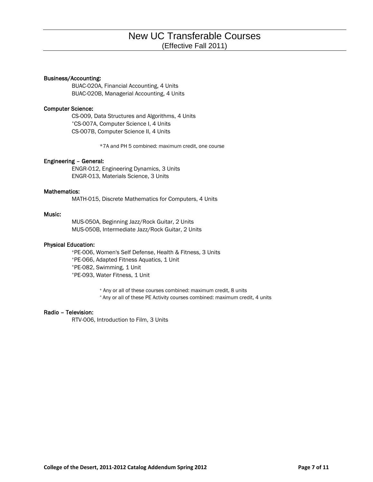#### Business/Accounting:

BUAC-020A, Financial Accounting, 4 Units BUAC-020B, Managerial Accounting, 4 Units

#### Computer Science:

CS-009, Data Structures and Algorithms, 4 Units \*CS-007A, Computer Science I, 4 Units CS-007B, Computer Science II, 4 Units

\*7A and PH 5 combined: maximum credit, one course

#### Engineering – General:

ENGR-012, Engineering Dynamics, 3 Units ENGR-013, Materials Science, 3 Units

#### Mathematics:

MATH-015, Discrete Mathematics for Computers, 4 Units

#### Music:

MUS-050A, Beginning Jazz/Rock Guitar, 2 Units MUS-050B, Intermediate Jazz/Rock Guitar, 2 Units

#### Physical Education:

<sup>+</sup>PE-006, Women's Self Defense, Health & Fitness, 3 Units \*PE-066, Adapted Fitness Aquatics, 1 Unit \*PE-082, Swimming, 1 Unit \*PE-093, Water Fitness, 1 Unit

<sup>+</sup> Any or all of these courses combined: maximum credit, 8 units

\* Any or all of these PE Activity courses combined: maximum credit, 4 units

#### Radio – Television:

RTV-006, Introduction to Film, 3 Units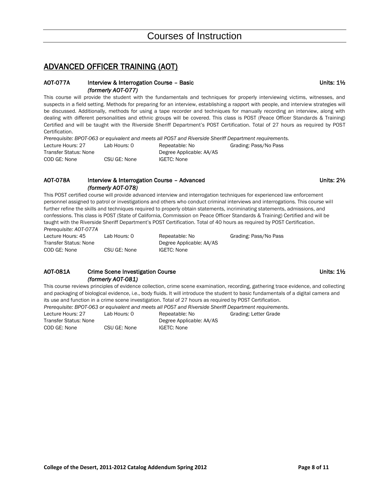## ADVANCED OFFICER TRAINING (AOT)

#### AOT-077A Interview & Interrogation Course – Basic **No. 11.12** Inits: 11/2 *(formerly AOT-077)*

This course will provide the student with the fundamentals and techniques for properly interviewing victims, witnesses, and suspects in a field setting. Methods for preparing for an interview, establishing a rapport with people, and interview strategies will be discussed. Additionally, methods for using a tape recorder and techniques for manually recording an interview, along with dealing with different personalities and ethnic groups will be covered. This class is POST (Peace Officer Standards & Training) Certified and will be taught with the Riverside Sheriff Department's POST Certification. Total of 27 hours as required by POST Certification.

*Prerequisite: BPOT-063 or equivalent and meets all POST and Riverside Sheriff Department requirements.*

| Lecture Hours: 27     | Lab Hours: 0 | Repeatable: No           | Grading: Pass/No Pass |
|-----------------------|--------------|--------------------------|-----------------------|
| Transfer Status: None |              | Degree Applicable: AA/AS |                       |
| COD GE: None          | CSU GE: None | IGETC: None              |                       |
|                       |              |                          |                       |

### AOT-078A Interview & Interrogation Course – Advanced **Interview ADT-078A** Units: 2½ *(formerly AOT-078)*

This POST certified course will provide advanced interview and interrogation techniques for experienced law enforcement personnel assigned to patrol or investigations and others who conduct criminal interviews and interrogations. This course will further refine the skills and techniques required to properly obtain statements, incriminating statements, admissions, and confessions. This class is POST (State of California, Commission on Peace Officer Standards & Training) Certified and will be taught with the Riverside Sheriff Department's POST Certification. Total of 40 hours as required by POST Certification.

*Prerequisite: AOT-077A*

| Lecture Hours: 45     | Lab Hours: 0 | Repeatable: No           | Grading: Pass/No Pass |
|-----------------------|--------------|--------------------------|-----------------------|
| Transfer Status: None |              | Degree Applicable: AA/AS |                       |
| COD GE: None          | CSU GE: None | IGETC: None              |                       |

#### AOT-081A Crime Scene Investigation Course Communication Course Communication Course Units: 1½ *(formerly AOT-081)*

This course reviews principles of evidence collection, crime scene examination, recording, gathering trace evidence, and collecting and packaging of biological evidence, i.e., body fluids. It will introduce the student to basic fundamentals of a digital camera and its use and function in a crime scene investigation. Total of 27 hours as required by POST Certification.

*Prerequisite: BPOT-063 or equivalent and meets all POST and Riverside Sheriff Department requirements.*

Lecture Hours: 27 Lab Hours: 0 Repeatable: No Grading: Letter Grade Transfer Status: None Degree Applicable: AA/AS COD GE: None CSU GE: None IGETC: None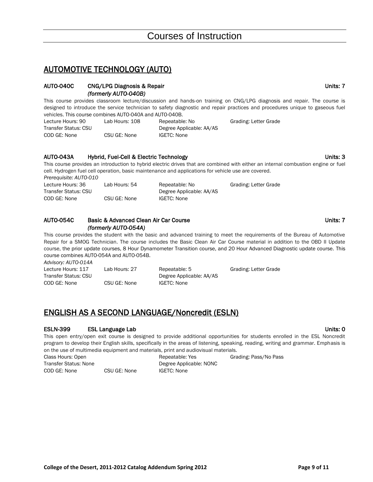## AUTOMOTIVE TECHNOLOGY (AUTO)

### AUTO-040C CNG/LPG Diagnosis & Repair Units: 7 *(formerly AUTO-040B)*

This course provides classroom lecture/discussion and hands-on training on CNG/LPG diagnosis and repair. The course is designed to introduce the service technician to safety diagnostic and repair practices and procedures unique to gaseous fuel vehicles. This course combines AUTO-040A and AUTO-040B.

| Lecture Hours: 90    | Lab Hours: 108 | Repeatable: No           | Grading: Letter Grade |
|----------------------|----------------|--------------------------|-----------------------|
| Transfer Status: CSU |                | Degree Applicable: AA/AS |                       |
| COD GE: None         | CSU GE: None   | IGETC: None              |                       |

### AUTO-043A Hybrid, Fuel-Cell & Electric Technology National Communication of the Units: 3

This course provides an introduction to hybrid electric drives that are combined with either an internal combustion engine or fuel cell. Hydrogen fuel cell operation, basic maintenance and applications for vehicle use are covered. *Prerequisite: AUTO-010*

| $1.00$ creation to $10.0$ and $0.0$ |               |                          |                       |
|-------------------------------------|---------------|--------------------------|-----------------------|
| Lecture Hours: 36                   | Lab Hours: 54 | Repeatable: No           | Grading: Letter Grade |
| Transfer Status: CSU                |               | Degree Applicable: AA/AS |                       |
| COD GE: None                        | CSU GE: None  | IGETC: None              |                       |
|                                     |               |                          |                       |

### AUTO-054C Basic & Advanced Clean Air Car Course New York New York New York Units: 7  *(formerly AUTO-054A)*

This course provides the student with the basic and advanced training to meet the requirements of the Bureau of Automotive Repair for a SMOG Technician. The course includes the Basic Clean Air Car Course material in addition to the OBD II Update course, the prior update courses, 8 Hour Dynamometer Transition course, and 20 Hour Advanced Diagnostic update course. This course combines AUTO-054A and AUTO-054B.

| Lecture Hours: 117   | Lab Hours: 27 | Repeatable: 5            | Grading: Letter Grade |
|----------------------|---------------|--------------------------|-----------------------|
| Transfer Status: CSU |               | Degree Applicable: AA/AS |                       |
| COD GE: None         | CSU GE: None  | IGETC: None              |                       |

# ENGLISH AS A SECOND LANGUAGE/Noncredit (ESLN)

### ESLN-399 ESL Language Lab Units: 0

This open entry/open exit course is designed to provide additional opportunities for students enrolled in the ESL Noncredit program to develop their English skills, specifically in the areas of listening, speaking, reading, writing and grammar. Emphasis is on the use of multimedia equipment and materials, print and audiovisual materials.

*Advisory: AUTO-014A*

Class Hours: Open **Class Hours: Open** Repeatable: Yes Grading: Pass/No Pass Transfer Status: None Degree Applicable: NONC COD GE: None CSU GE: None IGETC: None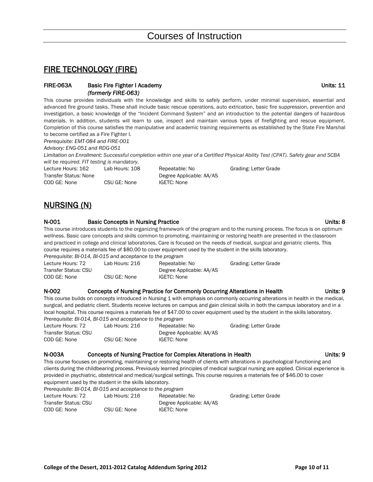## FIRE TECHNOLOGY (FIRE)

#### FIRE-063A Basic Fire Fighter I Academy **National State of Accord Participate 1** Units: 11  *(formerly FIRE-063)*

This course provides individuals with the knowledge and skills to safely perform, under minimal supervision, essential and advanced fire ground tasks. These shall include basic rescue operations, auto extrication, basic fire suppression, prevention and investigation, a basic knowledge of the "Incident Command System" and an introduction to the potential dangers of hazardous materials. In addition, students will learn to use, inspect and maintain various types of firefighting and rescue equipment. Completion of this course satisfies the manipulative and academic training requirements as established by the State Fire Marshal to become certified as a Fire Fighter I.

*Prerequisite: EMT-084 and FIRE-001*

*Advisory: ENG-051 and RDG-051*

*Limitation on Enrollment: Successful completion within one year of a Certified Physical Ability Test (CPAT). Safety gear and SCBA will be required. FIT testing is mandatory.*

| Lecture Hours: 162    | Lab Hours: 108 | Repeatable:        |
|-----------------------|----------------|--------------------|
| Transfer Status: None |                | Degree Appli       |
| COD GE: None          | CSU GE: None   | <b>IGETC: None</b> |

Repeatable: No Grading: Letter Grade Degree Applicable: AA/AS

# NURSING (N)

#### N-001 Basic Concepts in Nursing Practice **Network Concepts** in Nursing Practice **Units: 8** This course introduces students to the organizing framework of the program and to the nursing process. The focus is on optimum wellness. Basic care concepts and skills common to promoting, maintaining or restoring health are presented in the classroom and practiced in college and clinical laboratories. Care is focused on the needs of medical, surgical and geriatric clients. This course requires a materials fee of \$80.00 to cover equipment used by the student in the skills laboratory. *Prerequisite: BI-014, BI-015 and acceptance to the program*

| Lecture Hours: 72    | Lab Hours: 216 | Repeatable: No           | Grading: Letter Grade |
|----------------------|----------------|--------------------------|-----------------------|
| Transfer Status: CSU |                | Degree Applicable: AA/AS |                       |
| COD GE: None         | CSU GE: None   | IGETC: None              |                       |

#### N-002 Concepts of Nursing Practice for Commonly Occurring Alterations in Health Units: 9

This course builds on concepts introduced in Nursing 1 with emphasis on commonly occurring alterations in health in the medical, surgical, and pediatric client. Students receive lectures on campus and gain clinical skills in both the campus laboratory and in a local hospital. This course requires a materials fee of \$47.00 to cover equipment used by the student in the skills laboratory. *Prerequisite: BI-014, BI-015 and acceptance to the program*

| Lecture Hours: 72    | Lab Hours: 216 | Repeatable: No           | Grading: Letter Grade |
|----------------------|----------------|--------------------------|-----------------------|
| Transfer Status: CSU |                | Degree Applicable: AA/AS |                       |
| COD GE: None         | CSU GE: None   | IGETC: None              |                       |

#### N-003A Concepts of Nursing Practice for Complex Alterations in Health Units: 9

This course focuses on promoting, maintaining or restoring health of clients with alterations in psychological functioning and clients during the childbearing process. Previously learned principles of medical surgical nursing are applied. Clinical experience is provided in psychiatric, obstetrical and medical/surgical settings. This course requires a materials fee of \$46.00 to cover equipment used by the student in the skills laboratory.

| Prerequisite: BI-014, BI-015 and acceptance to the program |                |                          |                       |  |
|------------------------------------------------------------|----------------|--------------------------|-----------------------|--|
| Lecture Hours: 72                                          | Lab Hours: 216 | Repeatable: No           | Grading: Letter Grade |  |
| Transfer Status: CSU                                       |                | Degree Applicable: AA/AS |                       |  |
| COD GE: None                                               | CSU GE: None   | IGETC: None              |                       |  |